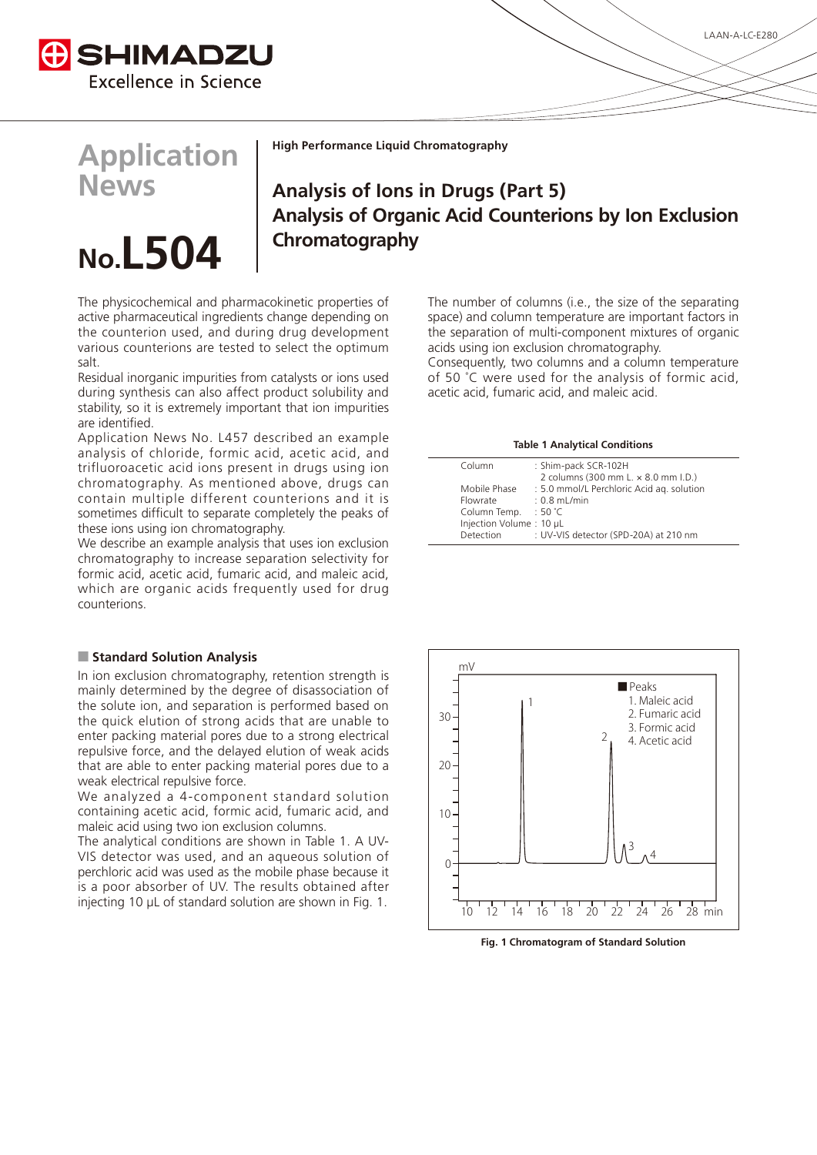

# **Application News**

# No.**L504**

**High Performance Liquid Chromatography** 

# **Analysis of Ions in Drugs (Part 5) Analysis of Organic Acid Counterions by Ion Exclusion Chromatography**

The physicochemical and pharmacokinetic properties of active pharmaceutical ingredients change depending on the counterion used, and during drug development various counterions are tested to select the optimum .salt

Residual inorganic impurities from catalysts or ions used during synthesis can also affect product solubility and stability, so it is extremely important that ion impurities are identified.

Application News No. L457 described an example analysis of chloride, formic acid, acetic acid, and trifluoroacetic acid ions present in drugs using ion chromatography. As mentioned above, drugs can contain multiple different counterions and it is sometimes difficult to separate completely the peaks of these ions using ion chromatography.

We describe an example analysis that uses ion exclusion chromatography to increase separation selectivity for formic acid, acetic acid, fumaric acid, and maleic acid, which are organic acids frequently used for drug .counterions

### **Analysis Standard Solution Analysis**

In ion exclusion chromatography, retention strength is mainly determined by the degree of disassociation of the solute ion, and separation is performed based on the quick elution of strong acids that are unable to enter packing material pores due to a strong electrical repulsive force, and the delayed elution of weak acids that are able to enter packing material pores due to a weak electrical repulsive force.

We analyzed a 4-component standard solution containing acetic acid, formic acid, fumaric acid, and maleic acid using two ion exclusion columns.

VIS detector was used, and an aqueous solution of The analytical conditions are shown in Table 1. A UVperchloric acid was used as the mobile phase because it is a poor absorber of UV. The results obtained after injecting 10 µL of standard solution are shown in Fig. 1. The number of columns (i.e., the size of the separating space) and column temperature are important factors in the separation of multi-component mixtures of organic acids using ion exclusion chromatography.

Consequently, two columns and a column temperature of 50  $\degree$ C were used for the analysis of formic acid, acetic acid, fumaric acid, and maleic acid.

#### **Table 1 Analytical Conditions**

| Column                  | : Shim-pack SCR-102H<br>2 columns (300 mm L. x 8.0 mm I.D.) |
|-------------------------|-------------------------------------------------------------|
| Mobile Phase            | : 5.0 mmol/L Perchloric Acid ag. solution                   |
| Flowrate                | $: 0.8$ mL/min                                              |
| Column Temp. : 50 °C    |                                                             |
| Injection Volume: 10 µL |                                                             |
| Detection               | : UV-VIS detector (SPD-20A) at 210 nm                       |
|                         |                                                             |



**Fig. 1 Chromatogram of Standard Solution**